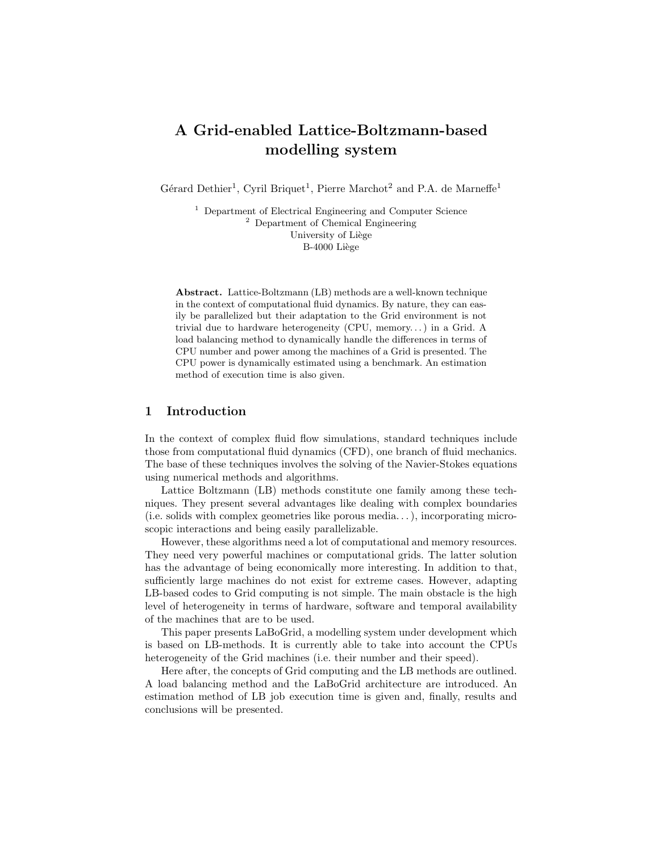# A Grid-enabled Lattice-Boltzmann-based modelling system

Gérard Dethier<sup>1</sup>, Cyril Briquet<sup>1</sup>, Pierre Marchot<sup>2</sup> and P.A. de Marneffe<sup>1</sup>

<sup>1</sup> Department of Electrical Engineering and Computer Science <sup>2</sup> Department of Chemical Engineering University of Liège B-4000 Liège

Abstract. Lattice-Boltzmann (LB) methods are a well-known technique in the context of computational fluid dynamics. By nature, they can easily be parallelized but their adaptation to the Grid environment is not trivial due to hardware heterogeneity (CPU, memory. . . ) in a Grid. A load balancing method to dynamically handle the differences in terms of CPU number and power among the machines of a Grid is presented. The CPU power is dynamically estimated using a benchmark. An estimation method of execution time is also given.

### 1 Introduction

In the context of complex fluid flow simulations, standard techniques include those from computational fluid dynamics (CFD), one branch of fluid mechanics. The base of these techniques involves the solving of the Navier-Stokes equations using numerical methods and algorithms.

Lattice Boltzmann (LB) methods constitute one family among these techniques. They present several advantages like dealing with complex boundaries (i.e. solids with complex geometries like porous media. . . ), incorporating microscopic interactions and being easily parallelizable.

However, these algorithms need a lot of computational and memory resources. They need very powerful machines or computational grids. The latter solution has the advantage of being economically more interesting. In addition to that, sufficiently large machines do not exist for extreme cases. However, adapting LB-based codes to Grid computing is not simple. The main obstacle is the high level of heterogeneity in terms of hardware, software and temporal availability of the machines that are to be used.

This paper presents LaBoGrid, a modelling system under development which is based on LB-methods. It is currently able to take into account the CPUs heterogeneity of the Grid machines (i.e. their number and their speed).

Here after, the concepts of Grid computing and the LB methods are outlined. A load balancing method and the LaBoGrid architecture are introduced. An estimation method of LB job execution time is given and, finally, results and conclusions will be presented.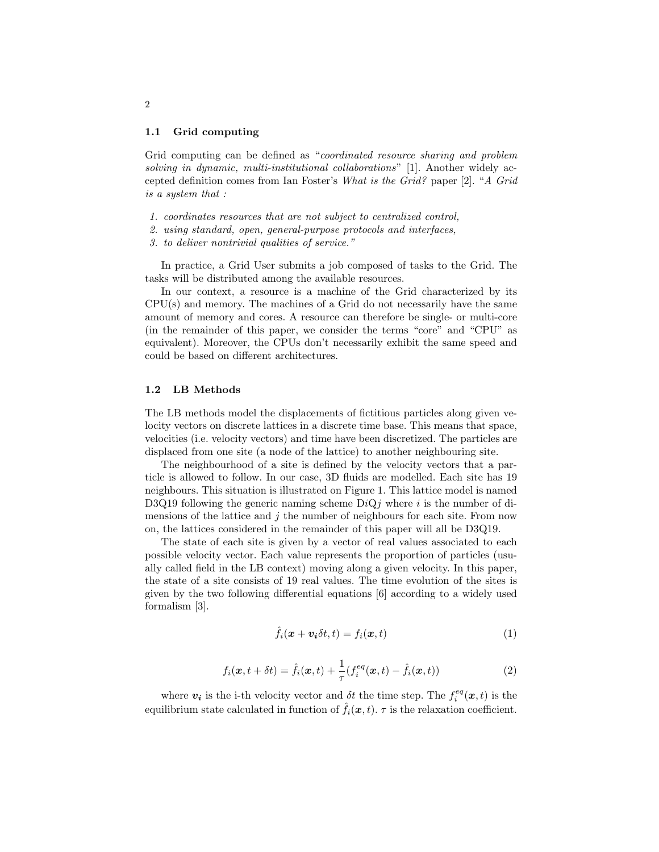#### 1.1 Grid computing

Grid computing can be defined as "coordinated resource sharing and problem solving in dynamic, multi-institutional collaborations" [1]. Another widely accepted definition comes from Ian Foster's What is the Grid? paper [2]. "A Grid is a system that :

- 1. coordinates resources that are not subject to centralized control,
- 2. using standard, open, general-purpose protocols and interfaces,
- 3. to deliver nontrivial qualities of service."

In practice, a Grid User submits a job composed of tasks to the Grid. The tasks will be distributed among the available resources.

In our context, a resource is a machine of the Grid characterized by its CPU(s) and memory. The machines of a Grid do not necessarily have the same amount of memory and cores. A resource can therefore be single- or multi-core (in the remainder of this paper, we consider the terms "core" and "CPU" as equivalent). Moreover, the CPUs don't necessarily exhibit the same speed and could be based on different architectures.

### 1.2 LB Methods

The LB methods model the displacements of fictitious particles along given velocity vectors on discrete lattices in a discrete time base. This means that space, velocities (i.e. velocity vectors) and time have been discretized. The particles are displaced from one site (a node of the lattice) to another neighbouring site.

The neighbourhood of a site is defined by the velocity vectors that a particle is allowed to follow. In our case, 3D fluids are modelled. Each site has 19 neighbours. This situation is illustrated on Figure 1. This lattice model is named D3Q19 following the generic naming scheme  $DiQj$  where i is the number of dimensions of the lattice and  $j$  the number of neighbours for each site. From now on, the lattices considered in the remainder of this paper will all be D3Q19.

The state of each site is given by a vector of real values associated to each possible velocity vector. Each value represents the proportion of particles (usually called field in the LB context) moving along a given velocity. In this paper, the state of a site consists of 19 real values. The time evolution of the sites is given by the two following differential equations [6] according to a widely used formalism [3].

$$
\hat{f}_i(\boldsymbol{x} + \boldsymbol{v}_i \delta t, t) = f_i(\boldsymbol{x}, t)
$$
\n(1)

$$
f_i(\bm{x}, t + \delta t) = \hat{f}_i(\bm{x}, t) + \frac{1}{\tau} (f_i^{eq}(\bm{x}, t) - \hat{f}_i(\bm{x}, t))
$$
\n(2)

where  $v_i$  is the i-th velocity vector and  $\delta t$  the time step. The  $f_i^{eq}(x,t)$  is the equilibrium state calculated in function of  $\hat{f}_i(\boldsymbol{x}, t)$ .  $\tau$  is the relaxation coefficient.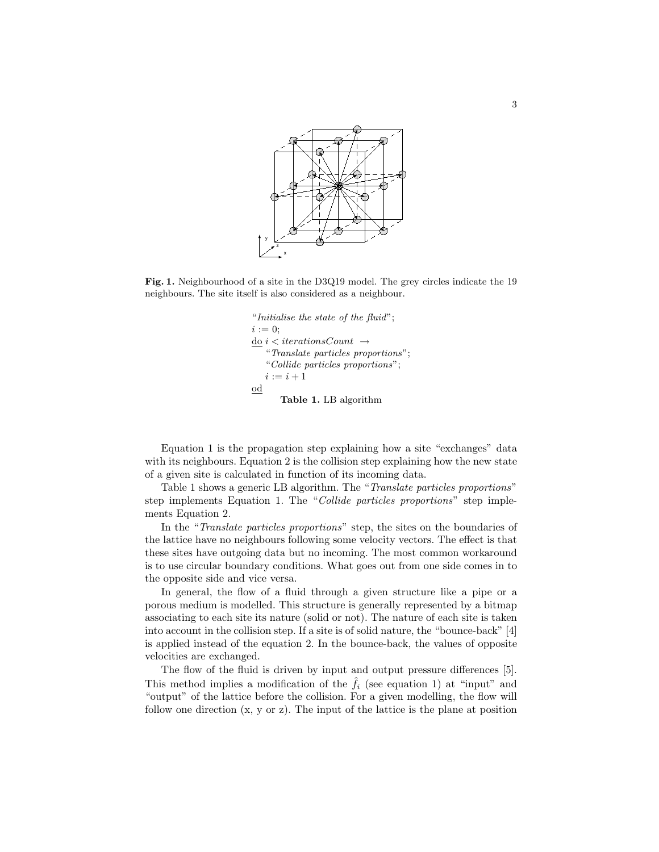

Fig. 1. Neighbourhood of a site in the D3Q19 model. The grey circles indicate the 19 neighbours. The site itself is also considered as a neighbour.

```
"Initialise the state of the fluid";
i := 0;
do i < iterations Count \rightarrow"Translate particles proportions";
   "Collide particles proportions";
   i := i + 1od
       Table 1. LB algorithm
```
Equation 1 is the propagation step explaining how a site "exchanges" data with its neighbours. Equation 2 is the collision step explaining how the new state of a given site is calculated in function of its incoming data.

Table 1 shows a generic LB algorithm. The "Translate particles proportions" step implements Equation 1. The "Collide particles proportions" step implements Equation 2.

In the "Translate particles proportions" step, the sites on the boundaries of the lattice have no neighbours following some velocity vectors. The effect is that these sites have outgoing data but no incoming. The most common workaround is to use circular boundary conditions. What goes out from one side comes in to the opposite side and vice versa.

In general, the flow of a fluid through a given structure like a pipe or a porous medium is modelled. This structure is generally represented by a bitmap associating to each site its nature (solid or not). The nature of each site is taken into account in the collision step. If a site is of solid nature, the "bounce-back" [4] is applied instead of the equation 2. In the bounce-back, the values of opposite velocities are exchanged.

The flow of the fluid is driven by input and output pressure differences [5]. This method implies a modification of the  $f_i$  (see equation 1) at "input" and "output" of the lattice before the collision. For a given modelling, the flow will follow one direction (x, y or z). The input of the lattice is the plane at position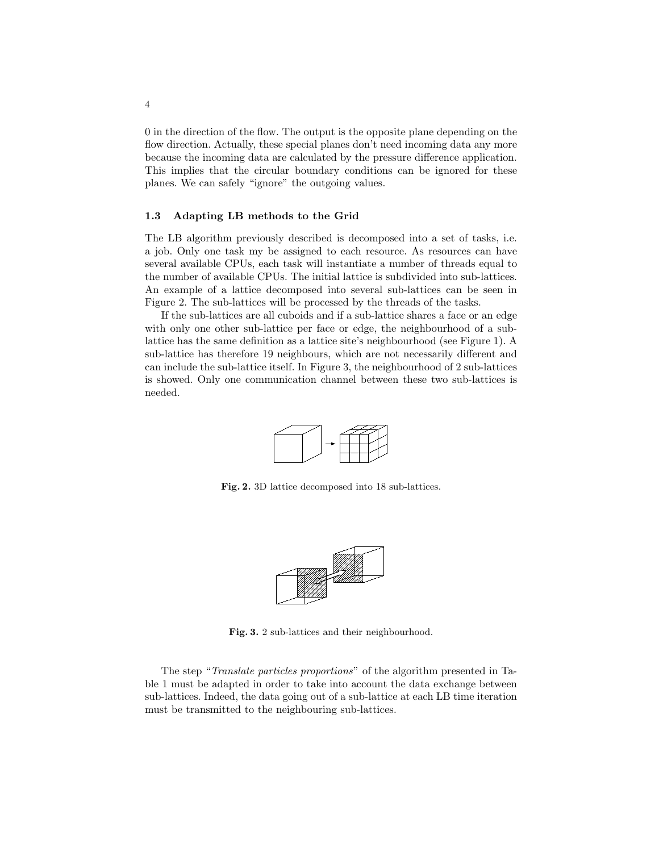0 in the direction of the flow. The output is the opposite plane depending on the flow direction. Actually, these special planes don't need incoming data any more because the incoming data are calculated by the pressure difference application. This implies that the circular boundary conditions can be ignored for these planes. We can safely "ignore" the outgoing values.

### 1.3 Adapting LB methods to the Grid

The LB algorithm previously described is decomposed into a set of tasks, i.e. a job. Only one task my be assigned to each resource. As resources can have several available CPUs, each task will instantiate a number of threads equal to the number of available CPUs. The initial lattice is subdivided into sub-lattices. An example of a lattice decomposed into several sub-lattices can be seen in Figure 2. The sub-lattices will be processed by the threads of the tasks.

If the sub-lattices are all cuboids and if a sub-lattice shares a face or an edge with only one other sub-lattice per face or edge, the neighbourhood of a sublattice has the same definition as a lattice site's neighbourhood (see Figure 1). A sub-lattice has therefore 19 neighbours, which are not necessarily different and can include the sub-lattice itself. In Figure 3, the neighbourhood of 2 sub-lattices is showed. Only one communication channel between these two sub-lattices is needed.



Fig. 2. 3D lattice decomposed into 18 sub-lattices.



Fig. 3. 2 sub-lattices and their neighbourhood.

The step "Translate particles proportions" of the algorithm presented in Table 1 must be adapted in order to take into account the data exchange between sub-lattices. Indeed, the data going out of a sub-lattice at each LB time iteration must be transmitted to the neighbouring sub-lattices.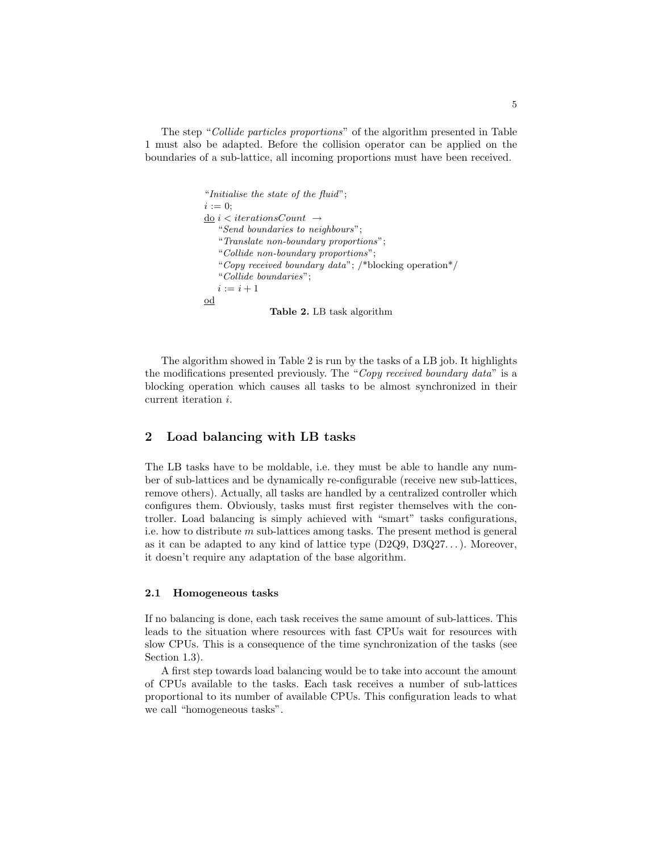The step "Collide particles proportions" of the algorithm presented in Table 1 must also be adapted. Before the collision operator can be applied on the boundaries of a sub-lattice, all incoming proportions must have been received.

```
"Initialise the state of the fluid";
i := 0;\underline{\mathrm{d}\mathrm{e}}\,i < iterationsCount \rightarrow"Send boundaries to neighbours";
   "Translate non-boundary proportions";
   "Collide non-boundary proportions";
   "Copy received boundary data"; /*blocking operation*/
   "Collide boundaries";
   i := i + 1od
                 Table 2. LB task algorithm
```
The algorithm showed in Table 2 is run by the tasks of a LB job. It highlights the modifications presented previously. The "Copy received boundary data" is a blocking operation which causes all tasks to be almost synchronized in their current iteration i.

# 2 Load balancing with LB tasks

The LB tasks have to be moldable, i.e. they must be able to handle any number of sub-lattices and be dynamically re-configurable (receive new sub-lattices, remove others). Actually, all tasks are handled by a centralized controller which configures them. Obviously, tasks must first register themselves with the controller. Load balancing is simply achieved with "smart" tasks configurations, i.e. how to distribute  $m$  sub-lattices among tasks. The present method is general as it can be adapted to any kind of lattice type  $(D2Q9, D3Q27...)$ . Moreover, it doesn't require any adaptation of the base algorithm.

### 2.1 Homogeneous tasks

If no balancing is done, each task receives the same amount of sub-lattices. This leads to the situation where resources with fast CPUs wait for resources with slow CPUs. This is a consequence of the time synchronization of the tasks (see Section 1.3).

A first step towards load balancing would be to take into account the amount of CPUs available to the tasks. Each task receives a number of sub-lattices proportional to its number of available CPUs. This configuration leads to what we call "homogeneous tasks".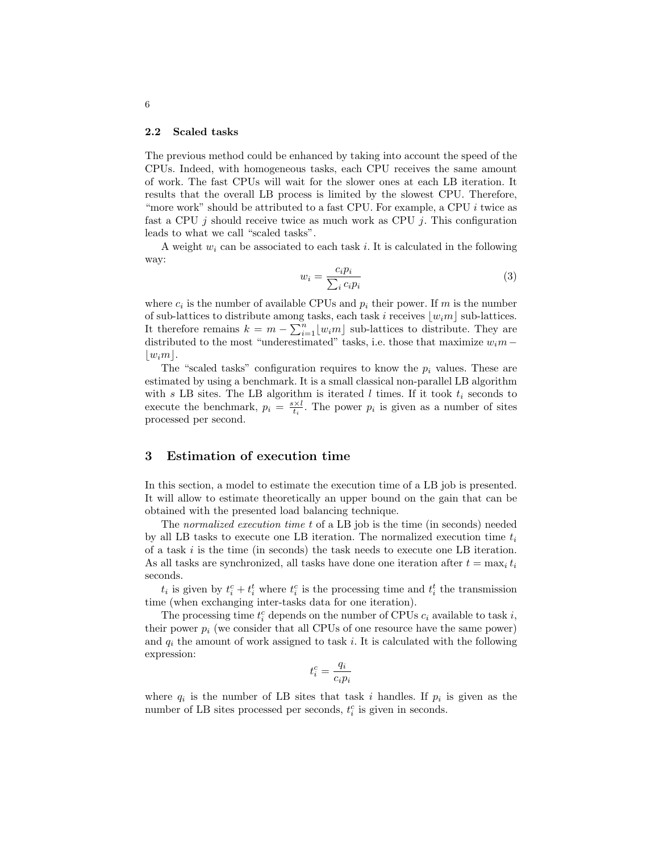#### 2.2 Scaled tasks

The previous method could be enhanced by taking into account the speed of the CPUs. Indeed, with homogeneous tasks, each CPU receives the same amount of work. The fast CPUs will wait for the slower ones at each LB iteration. It results that the overall LB process is limited by the slowest CPU. Therefore, "more work" should be attributed to a fast CPU. For example, a CPU i twice as fast a CPU  $j$  should receive twice as much work as CPU  $j$ . This configuration leads to what we call "scaled tasks".

A weight  $w_i$  can be associated to each task i. It is calculated in the following way:

$$
w_i = \frac{c_i p_i}{\sum_i c_i p_i} \tag{3}
$$

where  $c_i$  is the number of available CPUs and  $p_i$  their power. If m is the number of sub-lattices to distribute among tasks, each task i receives  $\lfloor w_i m \rfloor$  sub-lattices. It therefore remains  $k = m - \sum_{i=1}^{n} \lfloor w_i m \rfloor$  sub-lattices to distribute. They are distributed to the most "underestimated" tasks, i.e. those that maximize  $w_i m$  –  $|w_i m|$ .

The "scaled tasks" configuration requires to know the  $p_i$  values. These are estimated by using a benchmark. It is a small classical non-parallel LB algorithm with s LB sites. The LB algorithm is iterated  $l$  times. If it took  $t_i$  seconds to execute the benchmark,  $p_i = \frac{s \times l}{t_i}$ . The power  $p_i$  is given as a number of sites processed per second.

# 3 Estimation of execution time

In this section, a model to estimate the execution time of a LB job is presented. It will allow to estimate theoretically an upper bound on the gain that can be obtained with the presented load balancing technique.

The normalized execution time t of a LB job is the time (in seconds) needed by all LB tasks to execute one LB iteration. The normalized execution time  $t_i$ of a task  $i$  is the time (in seconds) the task needs to execute one LB iteration. As all tasks are synchronized, all tasks have done one iteration after  $t = \max_i t_i$ seconds.

 $t_i$  is given by  $t_i^c + t_i^t$  where  $t_i^c$  is the processing time and  $t_i^t$  the transmission time (when exchanging inter-tasks data for one iteration).

The processing time  $t_i^c$  depends on the number of CPUs  $c_i$  available to task  $i$ , their power  $p_i$  (we consider that all CPUs of one resource have the same power) and  $q_i$  the amount of work assigned to task i. It is calculated with the following expression:

$$
t_i^c = \frac{q_i}{c_i p_i}
$$

where  $q_i$  is the number of LB sites that task i handles. If  $p_i$  is given as the number of LB sites processed per seconds,  $t_i^c$  is given in seconds.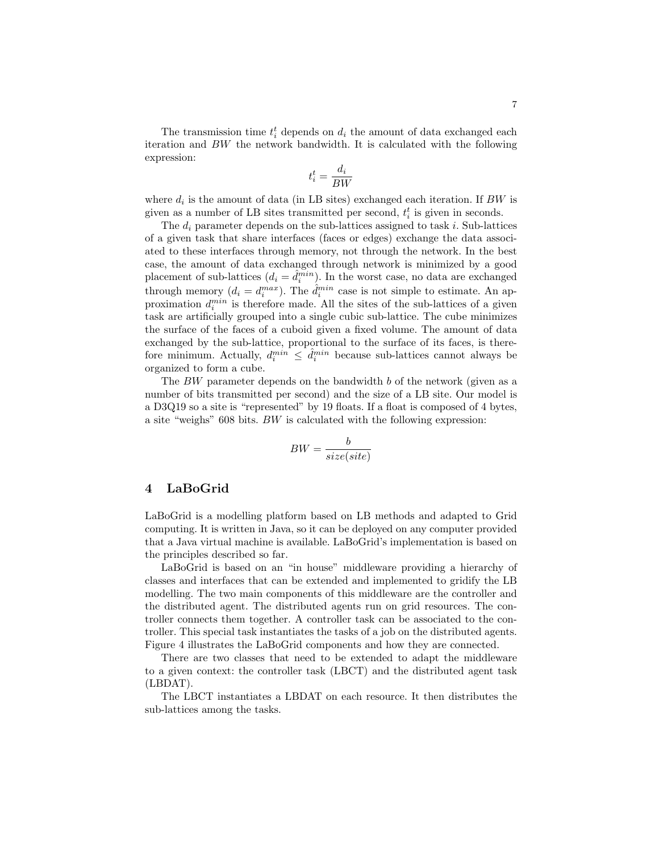The transmission time  $t_i^t$  depends on  $d_i$  the amount of data exchanged each iteration and BW the network bandwidth. It is calculated with the following expression:

$$
t_i^t = \frac{d_i}{BW}
$$

where  $d_i$  is the amount of data (in LB sites) exchanged each iteration. If  $BW$  is given as a number of LB sites transmitted per second,  $t_i^t$  is given in seconds.

The  $d_i$  parameter depends on the sub-lattices assigned to task i. Sub-lattices of a given task that share interfaces (faces or edges) exchange the data associated to these interfaces through memory, not through the network. In the best case, the amount of data exchanged through network is minimized by a good placement of sub-lattices  $(d_i = \hat{d}_i^{min})$ . In the worst case, no data are exchanged through memory  $(d_i = d_i^{max})$ . The  $\hat{d}_i^{min}$  case is not simple to estimate. An approximation  $d_i^{min}$  is therefore made. All the sites of the sub-lattices of a given task are artificially grouped into a single cubic sub-lattice. The cube minimizes the surface of the faces of a cuboid given a fixed volume. The amount of data exchanged by the sub-lattice, proportional to the surface of its faces, is therefore minimum. Actually,  $d_i^{min} \leq \hat{d}_i^{min}$  because sub-lattices cannot always be organized to form a cube.

The  $BW$  parameter depends on the bandwidth  $b$  of the network (given as a number of bits transmitted per second) and the size of a LB site. Our model is a D3Q19 so a site is "represented" by 19 floats. If a float is composed of 4 bytes, a site "weighs" 608 bits. BW is calculated with the following expression:

$$
BW = \frac{b}{size(size)}
$$

## 4 LaBoGrid

LaBoGrid is a modelling platform based on LB methods and adapted to Grid computing. It is written in Java, so it can be deployed on any computer provided that a Java virtual machine is available. LaBoGrid's implementation is based on the principles described so far.

LaBoGrid is based on an "in house" middleware providing a hierarchy of classes and interfaces that can be extended and implemented to gridify the LB modelling. The two main components of this middleware are the controller and the distributed agent. The distributed agents run on grid resources. The controller connects them together. A controller task can be associated to the controller. This special task instantiates the tasks of a job on the distributed agents. Figure 4 illustrates the LaBoGrid components and how they are connected.

There are two classes that need to be extended to adapt the middleware to a given context: the controller task (LBCT) and the distributed agent task (LBDAT).

The LBCT instantiates a LBDAT on each resource. It then distributes the sub-lattices among the tasks.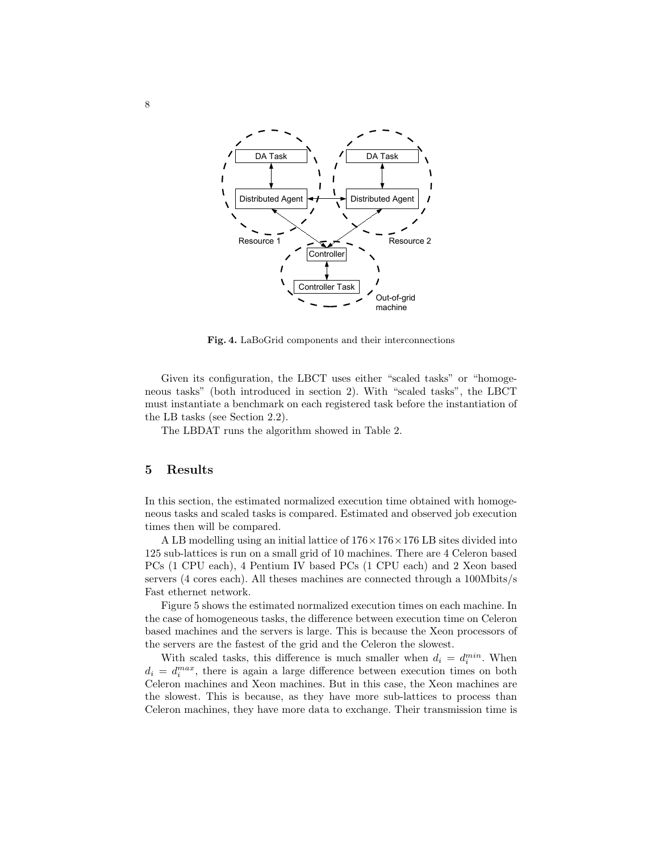

Fig. 4. LaBoGrid components and their interconnections

Given its configuration, the LBCT uses either "scaled tasks" or "homogeneous tasks" (both introduced in section 2). With "scaled tasks", the LBCT must instantiate a benchmark on each registered task before the instantiation of the LB tasks (see Section 2.2).

The LBDAT runs the algorithm showed in Table 2.

### 5 Results

In this section, the estimated normalized execution time obtained with homogeneous tasks and scaled tasks is compared. Estimated and observed job execution times then will be compared.

A LB modelling using an initial lattice of  $176 \times 176 \times 176$  LB sites divided into 125 sub-lattices is run on a small grid of 10 machines. There are 4 Celeron based PCs (1 CPU each), 4 Pentium IV based PCs (1 CPU each) and 2 Xeon based servers (4 cores each). All theses machines are connected through a 100Mbits/s Fast ethernet network.

Figure 5 shows the estimated normalized execution times on each machine. In the case of homogeneous tasks, the difference between execution time on Celeron based machines and the servers is large. This is because the Xeon processors of the servers are the fastest of the grid and the Celeron the slowest.

With scaled tasks, this difference is much smaller when  $d_i = d_i^{min}$ . When  $d_i = d_i^{max}$ , there is again a large difference between execution times on both Celeron machines and Xeon machines. But in this case, the Xeon machines are the slowest. This is because, as they have more sub-lattices to process than Celeron machines, they have more data to exchange. Their transmission time is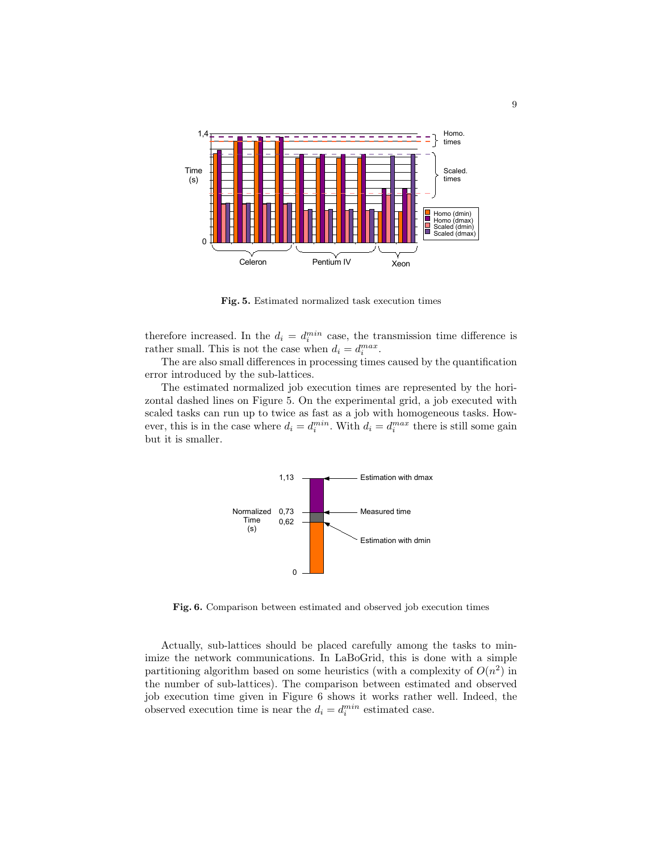

Fig. 5. Estimated normalized task execution times

therefore increased. In the  $d_i = d_i^{min}$  case, the transmission time difference is rather small. This is not the case when  $d_i = d_i^{max}$ .

The are also small differences in processing times caused by the quantification error introduced by the sub-lattices.

The estimated normalized job execution times are represented by the horizontal dashed lines on Figure 5. On the experimental grid, a job executed with scaled tasks can run up to twice as fast as a job with homogeneous tasks. However, this is in the case where  $d_i = d_i^{min}$ . With  $d_i = d_i^{max}$  there is still some gain but it is smaller.



Fig. 6. Comparison between estimated and observed job execution times

Actually, sub-lattices should be placed carefully among the tasks to minimize the network communications. In LaBoGrid, this is done with a simple partitioning algorithm based on some heuristics (with a complexity of  $O(n^2)$  in the number of sub-lattices). The comparison between estimated and observed job execution time given in Figure 6 shows it works rather well. Indeed, the observed execution time is near the  $d_i = d_i^{min}$  estimated case.